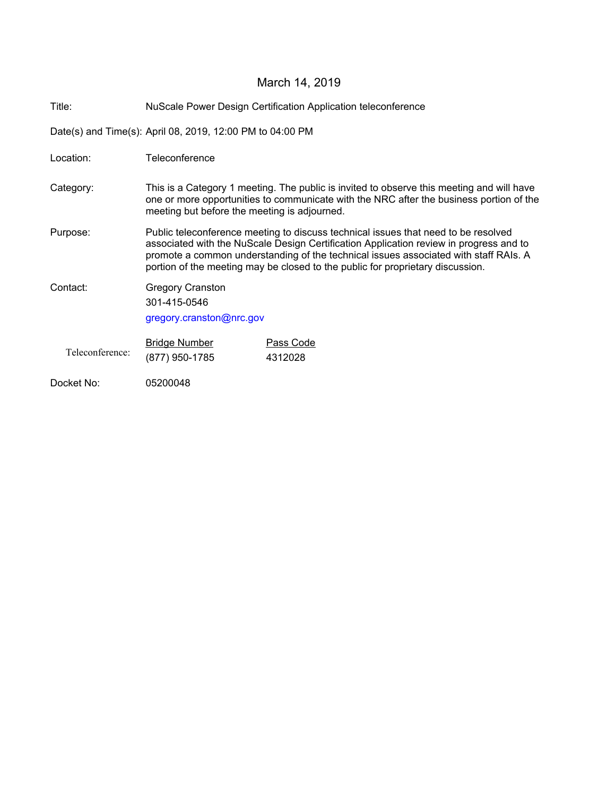# March 14, 2019

Title: NuScale Power Design Certification Application teleconference

Date(s) and Time(s): April 08, 2019, 12:00 PM to 04:00 PM

| Location:       | Teleconference                                                                                                                                                                                                                                                                                                                                         |                             |
|-----------------|--------------------------------------------------------------------------------------------------------------------------------------------------------------------------------------------------------------------------------------------------------------------------------------------------------------------------------------------------------|-----------------------------|
| Category:       | This is a Category 1 meeting. The public is invited to observe this meeting and will have<br>one or more opportunities to communicate with the NRC after the business portion of the<br>meeting but before the meeting is adjourned.                                                                                                                   |                             |
| Purpose:        | Public teleconference meeting to discuss technical issues that need to be resolved<br>associated with the NuScale Design Certification Application review in progress and to<br>promote a common understanding of the technical issues associated with staff RAIs. A<br>portion of the meeting may be closed to the public for proprietary discussion. |                             |
| Contact:        | <b>Gregory Cranston</b><br>301-415-0546<br>gregory.cranston@nrc.gov                                                                                                                                                                                                                                                                                    |                             |
| Teleconference: | <b>Bridge Number</b><br>(877) 950-1785                                                                                                                                                                                                                                                                                                                 | <b>Pass Code</b><br>4312028 |
| Docket No:      | 05200048                                                                                                                                                                                                                                                                                                                                               |                             |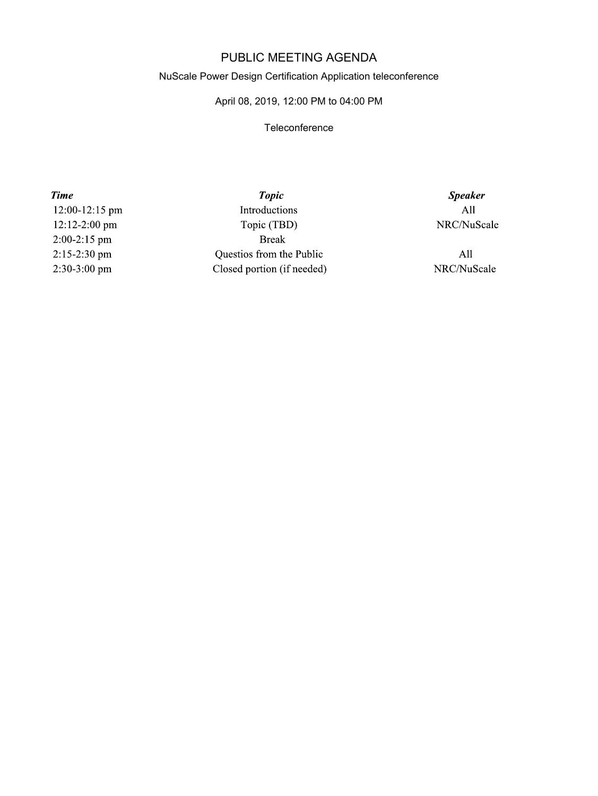## PUBLIC MEETING AGENDA

#### NuScale Power Design Certification Application teleconference

### April 08, 2019, 12:00 PM to 04:00 PM

#### **Teleconference**

**Time** 12:00-12:15 pm 12:12-2:00 pm  $2:00-2:15$  pm 2:15-2:30 pm 2:30-3:00 pm

**Topic** Introductions Topic (TBD) **Break** Questios from the Public Closed portion (if needed)

**Speaker**  $All$ NRC/NuScale

 $All$ NRC/NuScale